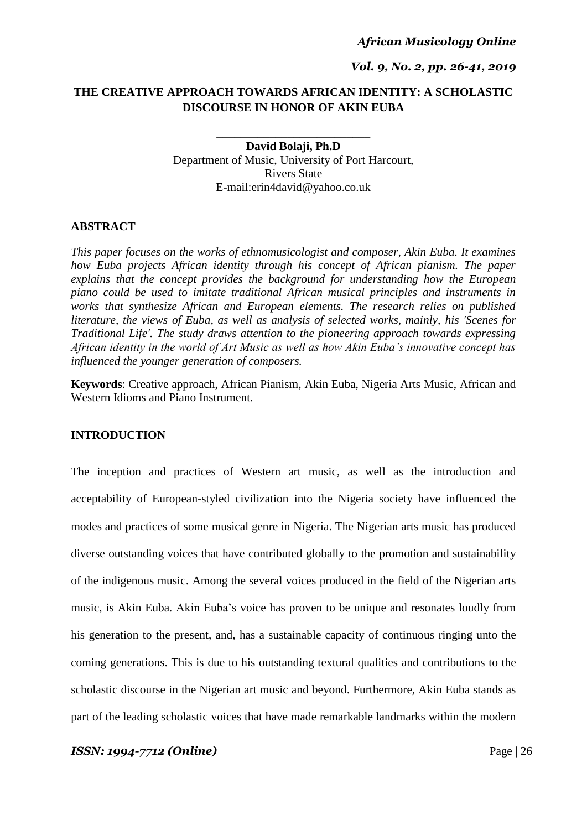*Vol. 9, No. 2, pp. 26-41, 2019*

# **THE CREATIVE APPROACH TOWARDS AFRICAN IDENTITY: A SCHOLASTIC DISCOURSE IN HONOR OF AKIN EUBA**

\_\_\_\_\_\_\_\_\_\_\_\_\_\_\_\_\_\_\_\_\_\_\_\_\_\_

**David Bolaji, Ph.D** Department of Music, University of Port Harcourt, Rivers State E-mail:erin4david@yahoo.co.uk

#### **ABSTRACT**

*This paper focuses on the works of ethnomusicologist and composer, Akin Euba. It examines how Euba projects African identity through his concept of African pianism. The paper explains that the concept provides the background for understanding how the European piano could be used to imitate traditional African musical principles and instruments in works that synthesize African and European elements. The research relies on published literature, the views of Euba, as well as analysis of selected works, mainly, his 'Scenes for Traditional Life'. The study draws attention to the pioneering approach towards expressing African identity in the world of Art Music as well as how Akin Euba's innovative concept has influenced the younger generation of composers.*

**Keywords**: Creative approach, African Pianism, Akin Euba, Nigeria Arts Music, African and Western Idioms and Piano Instrument.

#### **INTRODUCTION**

The inception and practices of Western art music, as well as the introduction and acceptability of European-styled civilization into the Nigeria society have influenced the modes and practices of some musical genre in Nigeria. The Nigerian arts music has produced diverse outstanding voices that have contributed globally to the promotion and sustainability of the indigenous music. Among the several voices produced in the field of the Nigerian arts music, is Akin Euba. Akin Euba"s voice has proven to be unique and resonates loudly from his generation to the present, and, has a sustainable capacity of continuous ringing unto the coming generations. This is due to his outstanding textural qualities and contributions to the scholastic discourse in the Nigerian art music and beyond. Furthermore, Akin Euba stands as part of the leading scholastic voices that have made remarkable landmarks within the modern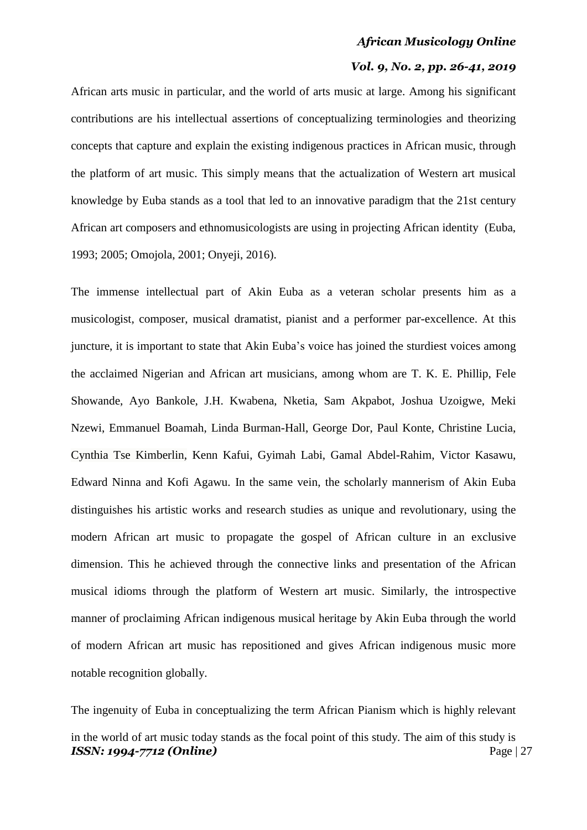#### *Vol. 9, No. 2, pp. 26-41, 2019*

African arts music in particular, and the world of arts music at large. Among his significant contributions are his intellectual assertions of conceptualizing terminologies and theorizing concepts that capture and explain the existing indigenous practices in African music, through the platform of art music. This simply means that the actualization of Western art musical knowledge by Euba stands as a tool that led to an innovative paradigm that the 21st century African art composers and ethnomusicologists are using in projecting African identity (Euba, 1993; 2005; Omojola, 2001; Onyeji, 2016).

The immense intellectual part of Akin Euba as a veteran scholar presents him as a musicologist, composer, musical dramatist, pianist and a performer par-excellence. At this juncture, it is important to state that Akin Euba's voice has joined the sturdiest voices among the acclaimed Nigerian and African art musicians, among whom are T. K. E. Phillip, Fele Showande, Ayo Bankole, J.H. Kwabena, Nketia, Sam Akpabot, Joshua Uzoigwe, Meki Nzewi, Emmanuel Boamah, Linda Burman-Hall, George Dor, Paul Konte, Christine Lucia, Cynthia Tse Kimberlin, Kenn Kafui, Gyimah Labi, Gamal Abdel-Rahim, Victor Kasawu, Edward Ninna and Kofi Agawu. In the same vein, the scholarly mannerism of Akin Euba distinguishes his artistic works and research studies as unique and revolutionary, using the modern African art music to propagate the gospel of African culture in an exclusive dimension. This he achieved through the connective links and presentation of the African musical idioms through the platform of Western art music. Similarly, the introspective manner of proclaiming African indigenous musical heritage by Akin Euba through the world of modern African art music has repositioned and gives African indigenous music more notable recognition globally.

*ISSN: 1994-7712 (Online)* Page | 27 The ingenuity of Euba in conceptualizing the term African Pianism which is highly relevant in the world of art music today stands as the focal point of this study. The aim of this study is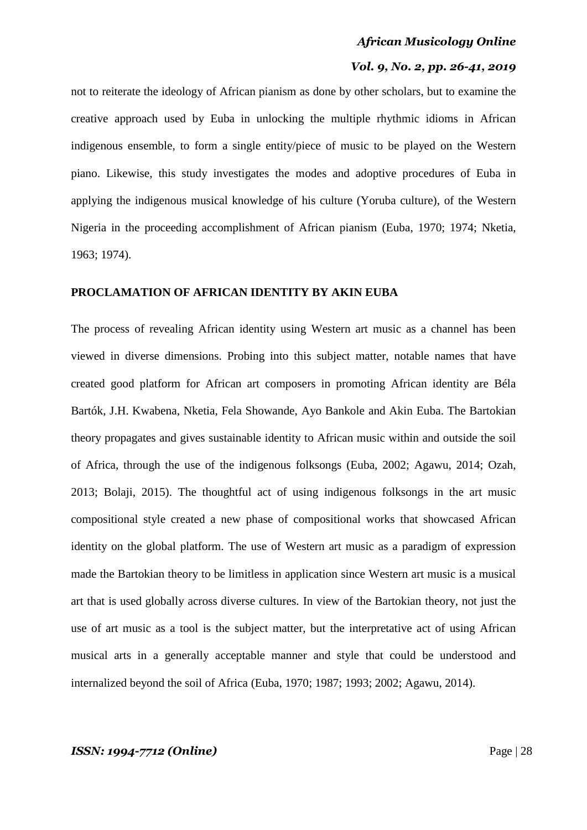### *Vol. 9, No. 2, pp. 26-41, 2019*

not to reiterate the ideology of African pianism as done by other scholars, but to examine the creative approach used by Euba in unlocking the multiple rhythmic idioms in African indigenous ensemble, to form a single entity/piece of music to be played on the Western piano. Likewise, this study investigates the modes and adoptive procedures of Euba in applying the indigenous musical knowledge of his culture (Yoruba culture), of the Western Nigeria in the proceeding accomplishment of African pianism (Euba, 1970; 1974; Nketia, 1963; 1974).

# **PROCLAMATION OF AFRICAN IDENTITY BY AKIN EUBA**

The process of revealing African identity using Western art music as a channel has been viewed in diverse dimensions. Probing into this subject matter, notable names that have created good platform for African art composers in promoting African identity are Béla Bartók, J.H. Kwabena, Nketia, Fela Showande, Ayo Bankole and Akin Euba. The Bartokian theory propagates and gives sustainable identity to African music within and outside the soil of Africa, through the use of the indigenous folksongs (Euba, 2002; Agawu, 2014; Ozah, 2013; Bolaji, 2015). The thoughtful act of using indigenous folksongs in the art music compositional style created a new phase of compositional works that showcased African identity on the global platform. The use of Western art music as a paradigm of expression made the Bartokian theory to be limitless in application since Western art music is a musical art that is used globally across diverse cultures. In view of the Bartokian theory, not just the use of art music as a tool is the subject matter, but the interpretative act of using African musical arts in a generally acceptable manner and style that could be understood and internalized beyond the soil of Africa (Euba, 1970; 1987; 1993; 2002; Agawu, 2014).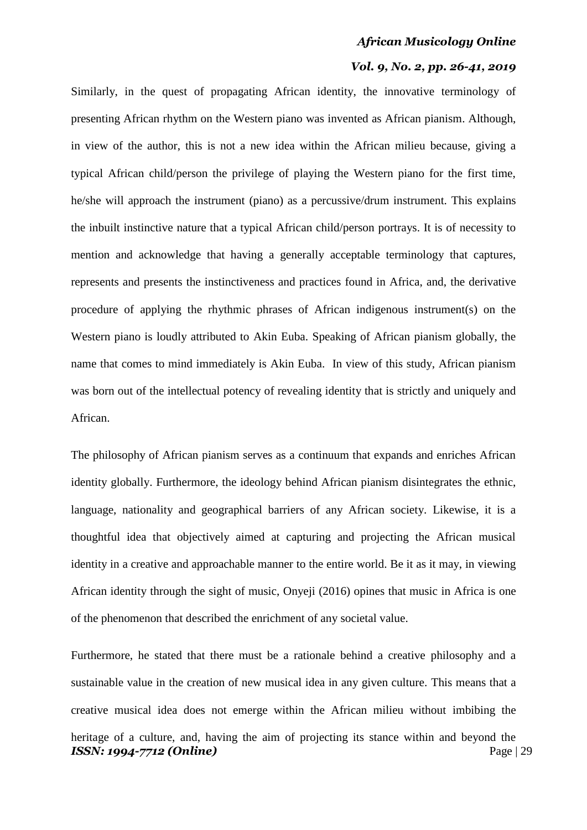## *Vol. 9, No. 2, pp. 26-41, 2019*

Similarly, in the quest of propagating African identity, the innovative terminology of presenting African rhythm on the Western piano was invented as African pianism. Although, in view of the author, this is not a new idea within the African milieu because, giving a typical African child/person the privilege of playing the Western piano for the first time, he/she will approach the instrument (piano) as a percussive/drum instrument. This explains the inbuilt instinctive nature that a typical African child/person portrays. It is of necessity to mention and acknowledge that having a generally acceptable terminology that captures, represents and presents the instinctiveness and practices found in Africa, and, the derivative procedure of applying the rhythmic phrases of African indigenous instrument(s) on the Western piano is loudly attributed to Akin Euba. Speaking of African pianism globally, the name that comes to mind immediately is Akin Euba. In view of this study, African pianism was born out of the intellectual potency of revealing identity that is strictly and uniquely and African.

The philosophy of African pianism serves as a continuum that expands and enriches African identity globally. Furthermore, the ideology behind African pianism disintegrates the ethnic, language, nationality and geographical barriers of any African society. Likewise, it is a thoughtful idea that objectively aimed at capturing and projecting the African musical identity in a creative and approachable manner to the entire world. Be it as it may, in viewing African identity through the sight of music, Onyeji (2016) opines that music in Africa is one of the phenomenon that described the enrichment of any societal value.

*ISSN: 1994-7712 (Online)* Page | 29 Furthermore, he stated that there must be a rationale behind a creative philosophy and a sustainable value in the creation of new musical idea in any given culture. This means that a creative musical idea does not emerge within the African milieu without imbibing the heritage of a culture, and, having the aim of projecting its stance within and beyond the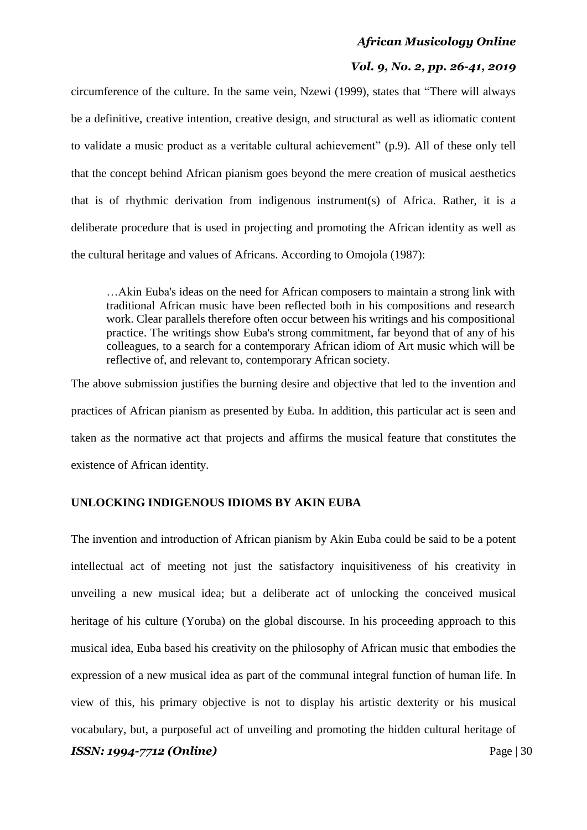# *Vol. 9, No. 2, pp. 26-41, 2019*

circumference of the culture. In the same vein, Nzewi (1999), states that "There will always be a definitive, creative intention, creative design, and structural as well as idiomatic content to validate a music product as a veritable cultural achievement" (p.9). All of these only tell that the concept behind African pianism goes beyond the mere creation of musical aesthetics that is of rhythmic derivation from indigenous instrument(s) of Africa. Rather, it is a deliberate procedure that is used in projecting and promoting the African identity as well as the cultural heritage and values of Africans. According to Omojola (1987):

…Akin Euba's ideas on the need for African composers to maintain a strong link with traditional African music have been reflected both in his compositions and research work. Clear parallels therefore often occur between his writings and his compositional practice. The writings show Euba's strong commitment, far beyond that of any of his colleagues, to a search for a contemporary African idiom of Art music which will be reflective of, and relevant to, contemporary African society.

The above submission justifies the burning desire and objective that led to the invention and practices of African pianism as presented by Euba. In addition, this particular act is seen and taken as the normative act that projects and affirms the musical feature that constitutes the existence of African identity.

# **UNLOCKING INDIGENOUS IDIOMS BY AKIN EUBA**

*ISSN: 1994-7712 (Online)* Page | 30 The invention and introduction of African pianism by Akin Euba could be said to be a potent intellectual act of meeting not just the satisfactory inquisitiveness of his creativity in unveiling a new musical idea; but a deliberate act of unlocking the conceived musical heritage of his culture (Yoruba) on the global discourse. In his proceeding approach to this musical idea, Euba based his creativity on the philosophy of African music that embodies the expression of a new musical idea as part of the communal integral function of human life. In view of this, his primary objective is not to display his artistic dexterity or his musical vocabulary, but, a purposeful act of unveiling and promoting the hidden cultural heritage of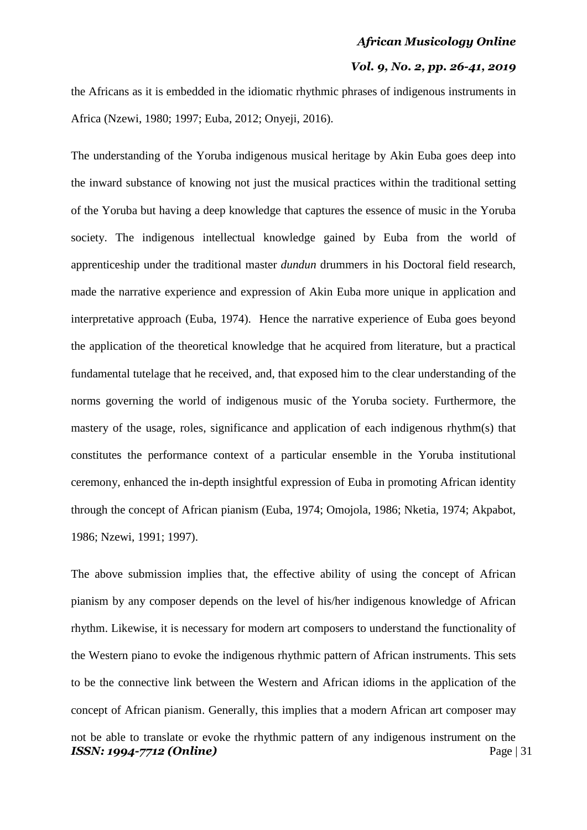## *Vol. 9, No. 2, pp. 26-41, 2019*

the Africans as it is embedded in the idiomatic rhythmic phrases of indigenous instruments in Africa (Nzewi, 1980; 1997; Euba, 2012; Onyeji, 2016).

The understanding of the Yoruba indigenous musical heritage by Akin Euba goes deep into the inward substance of knowing not just the musical practices within the traditional setting of the Yoruba but having a deep knowledge that captures the essence of music in the Yoruba society. The indigenous intellectual knowledge gained by Euba from the world of apprenticeship under the traditional master *dundun* drummers in his Doctoral field research, made the narrative experience and expression of Akin Euba more unique in application and interpretative approach (Euba, 1974). Hence the narrative experience of Euba goes beyond the application of the theoretical knowledge that he acquired from literature, but a practical fundamental tutelage that he received, and, that exposed him to the clear understanding of the norms governing the world of indigenous music of the Yoruba society. Furthermore, the mastery of the usage, roles, significance and application of each indigenous rhythm(s) that constitutes the performance context of a particular ensemble in the Yoruba institutional ceremony, enhanced the in-depth insightful expression of Euba in promoting African identity through the concept of African pianism (Euba, 1974; Omojola, 1986; Nketia, 1974; Akpabot, 1986; Nzewi, 1991; 1997).

*ISSN: 1994-7712 (Online)* Page | 31 The above submission implies that, the effective ability of using the concept of African pianism by any composer depends on the level of his/her indigenous knowledge of African rhythm. Likewise, it is necessary for modern art composers to understand the functionality of the Western piano to evoke the indigenous rhythmic pattern of African instruments. This sets to be the connective link between the Western and African idioms in the application of the concept of African pianism. Generally, this implies that a modern African art composer may not be able to translate or evoke the rhythmic pattern of any indigenous instrument on the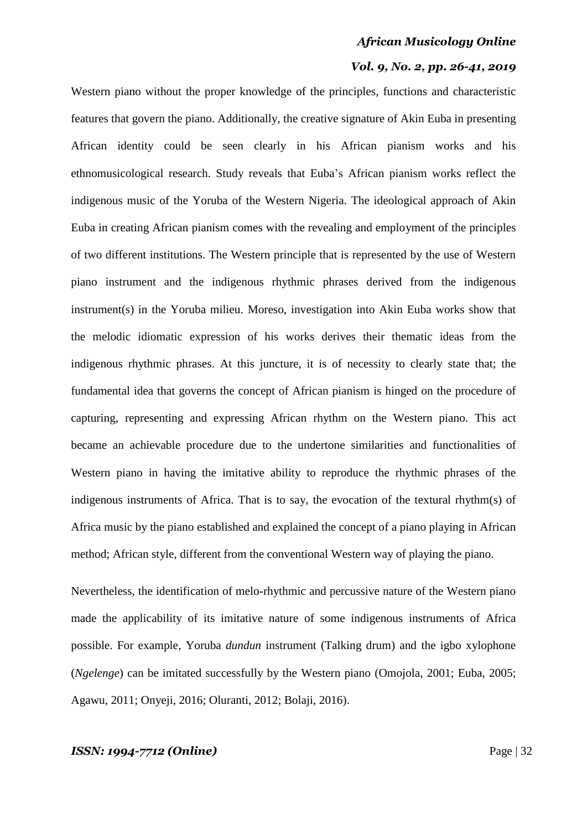#### *Vol. 9, No. 2, pp. 26-41, 2019*

Western piano without the proper knowledge of the principles, functions and characteristic features that govern the piano. Additionally, the creative signature of Akin Euba in presenting African identity could be seen clearly in his African pianism works and his ethnomusicological research. Study reveals that Euba"s African pianism works reflect the indigenous music of the Yoruba of the Western Nigeria. The ideological approach of Akin Euba in creating African pianism comes with the revealing and employment of the principles of two different institutions. The Western principle that is represented by the use of Western piano instrument and the indigenous rhythmic phrases derived from the indigenous instrument(s) in the Yoruba milieu. Moreso, investigation into Akin Euba works show that the melodic idiomatic expression of his works derives their thematic ideas from the indigenous rhythmic phrases. At this juncture, it is of necessity to clearly state that; the fundamental idea that governs the concept of African pianism is hinged on the procedure of capturing, representing and expressing African rhythm on the Western piano. This act became an achievable procedure due to the undertone similarities and functionalities of Western piano in having the imitative ability to reproduce the rhythmic phrases of the indigenous instruments of Africa. That is to say, the evocation of the textural rhythm(s) of Africa music by the piano established and explained the concept of a piano playing in African method; African style, different from the conventional Western way of playing the piano.

Nevertheless, the identification of melo-rhythmic and percussive nature of the Western piano made the applicability of its imitative nature of some indigenous instruments of Africa possible. For example, Yoruba *dundun* instrument (Talking drum) and the igbo xylophone (*Ngelenge*) can be imitated successfully by the Western piano (Omojola, 2001; Euba, 2005; Agawu, 2011; Onyeji, 2016; Oluranti, 2012; Bolaji, 2016).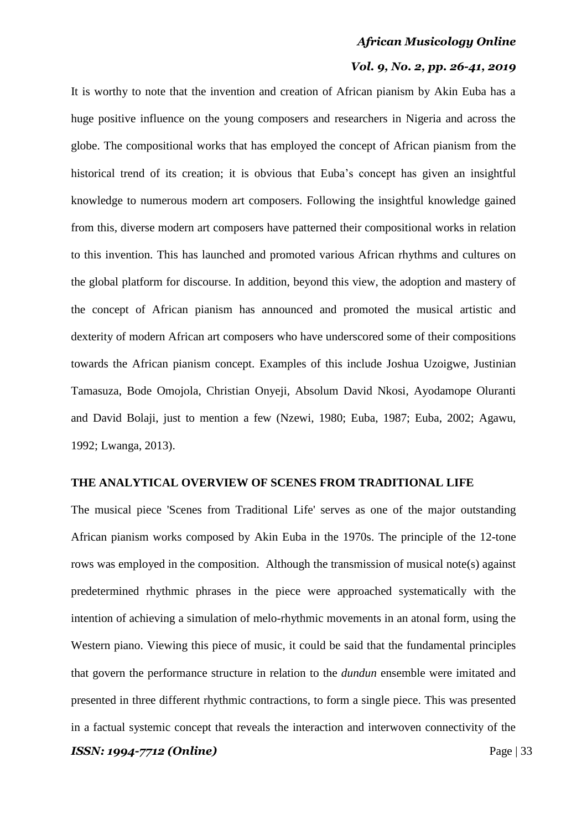#### *Vol. 9, No. 2, pp. 26-41, 2019*

It is worthy to note that the invention and creation of African pianism by Akin Euba has a huge positive influence on the young composers and researchers in Nigeria and across the globe. The compositional works that has employed the concept of African pianism from the historical trend of its creation; it is obvious that Euba"s concept has given an insightful knowledge to numerous modern art composers. Following the insightful knowledge gained from this, diverse modern art composers have patterned their compositional works in relation to this invention. This has launched and promoted various African rhythms and cultures on the global platform for discourse. In addition, beyond this view, the adoption and mastery of the concept of African pianism has announced and promoted the musical artistic and dexterity of modern African art composers who have underscored some of their compositions towards the African pianism concept. Examples of this include Joshua Uzoigwe, Justinian Tamasuza, Bode Omojola, Christian Onyeji, Absolum David Nkosi, Ayodamope Oluranti and David Bolaji, just to mention a few (Nzewi, 1980; Euba, 1987; Euba, 2002; Agawu, 1992; Lwanga, 2013).

# **THE ANALYTICAL OVERVIEW OF SCENES FROM TRADITIONAL LIFE**

The musical piece 'Scenes from Traditional Life' serves as one of the major outstanding African pianism works composed by Akin Euba in the 1970s. The principle of the 12-tone rows was employed in the composition. Although the transmission of musical note(s) against predetermined rhythmic phrases in the piece were approached systematically with the intention of achieving a simulation of melo-rhythmic movements in an atonal form, using the Western piano. Viewing this piece of music, it could be said that the fundamental principles that govern the performance structure in relation to the *dundun* ensemble were imitated and presented in three different rhythmic contractions, to form a single piece. This was presented in a factual systemic concept that reveals the interaction and interwoven connectivity of the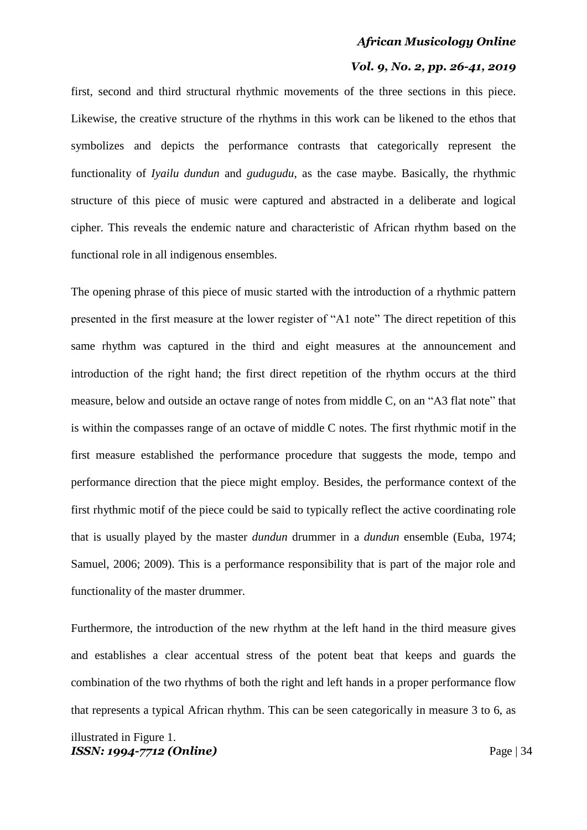#### *Vol. 9, No. 2, pp. 26-41, 2019*

first, second and third structural rhythmic movements of the three sections in this piece. Likewise, the creative structure of the rhythms in this work can be likened to the ethos that symbolizes and depicts the performance contrasts that categorically represent the functionality of *Iyailu dundun* and *gudugudu*, as the case maybe. Basically, the rhythmic structure of this piece of music were captured and abstracted in a deliberate and logical cipher. This reveals the endemic nature and characteristic of African rhythm based on the functional role in all indigenous ensembles.

The opening phrase of this piece of music started with the introduction of a rhythmic pattern presented in the first measure at the lower register of "A1 note" The direct repetition of this same rhythm was captured in the third and eight measures at the announcement and introduction of the right hand; the first direct repetition of the rhythm occurs at the third measure, below and outside an octave range of notes from middle C, on an "A3 flat note" that is within the compasses range of an octave of middle C notes. The first rhythmic motif in the first measure established the performance procedure that suggests the mode, tempo and performance direction that the piece might employ. Besides, the performance context of the first rhythmic motif of the piece could be said to typically reflect the active coordinating role that is usually played by the master *dundun* drummer in a *dundun* ensemble (Euba, 1974; Samuel, 2006; 2009). This is a performance responsibility that is part of the major role and functionality of the master drummer.

Furthermore, the introduction of the new rhythm at the left hand in the third measure gives and establishes a clear accentual stress of the potent beat that keeps and guards the combination of the two rhythms of both the right and left hands in a proper performance flow that represents a typical African rhythm. This can be seen categorically in measure 3 to 6, as

*ISSN: 1994-7712 (Online)* Page | 34 illustrated in Figure 1.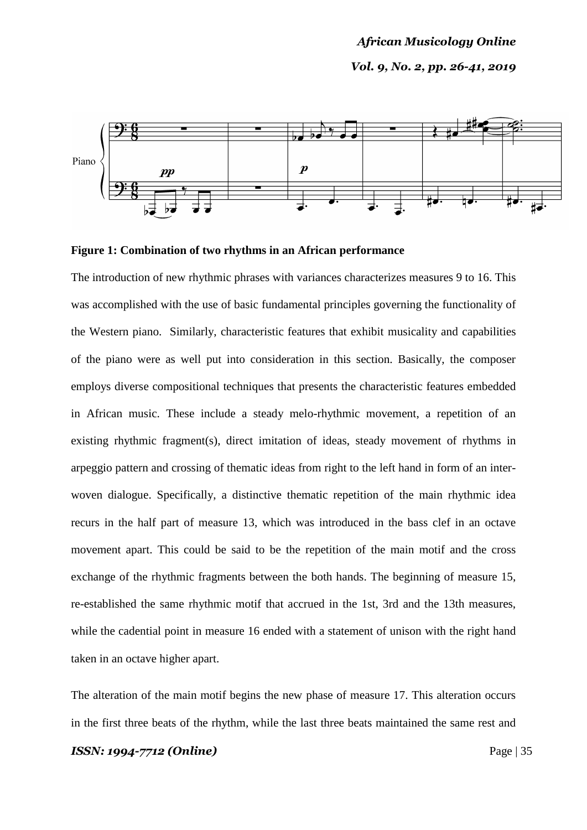# *African Musicology Online Vol. 9, No. 2, pp. 26-41, 2019*



#### **Figure 1: Combination of two rhythms in an African performance**

The introduction of new rhythmic phrases with variances characterizes measures 9 to 16. This was accomplished with the use of basic fundamental principles governing the functionality of the Western piano. Similarly, characteristic features that exhibit musicality and capabilities of the piano were as well put into consideration in this section. Basically, the composer employs diverse compositional techniques that presents the characteristic features embedded in African music. These include a steady melo-rhythmic movement, a repetition of an existing rhythmic fragment(s), direct imitation of ideas, steady movement of rhythms in arpeggio pattern and crossing of thematic ideas from right to the left hand in form of an interwoven dialogue. Specifically, a distinctive thematic repetition of the main rhythmic idea recurs in the half part of measure 13, which was introduced in the bass clef in an octave movement apart. This could be said to be the repetition of the main motif and the cross exchange of the rhythmic fragments between the both hands. The beginning of measure 15, re-established the same rhythmic motif that accrued in the 1st, 3rd and the 13th measures, while the cadential point in measure 16 ended with a statement of unison with the right hand taken in an octave higher apart.

The alteration of the main motif begins the new phase of measure 17. This alteration occurs in the first three beats of the rhythm, while the last three beats maintained the same rest and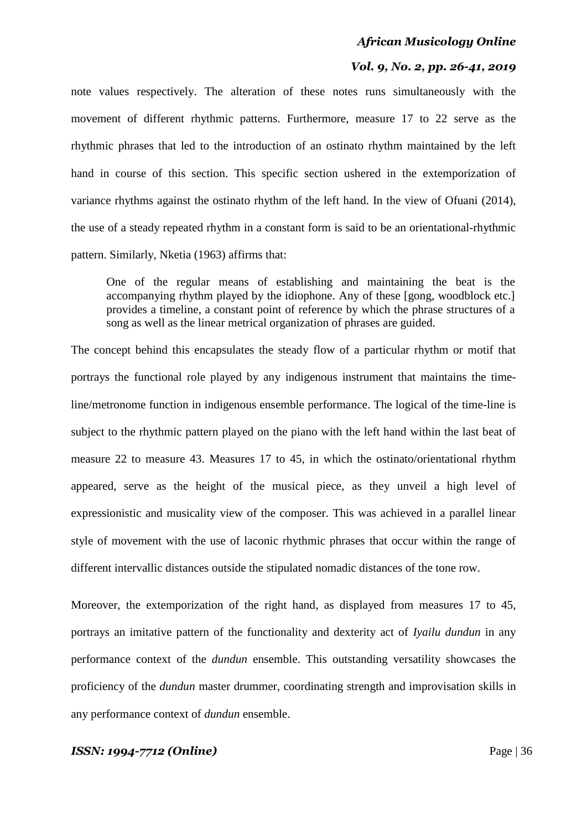# *Vol. 9, No. 2, pp. 26-41, 2019*

note values respectively. The alteration of these notes runs simultaneously with the movement of different rhythmic patterns. Furthermore, measure 17 to 22 serve as the rhythmic phrases that led to the introduction of an ostinato rhythm maintained by the left hand in course of this section. This specific section ushered in the extemporization of variance rhythms against the ostinato rhythm of the left hand. In the view of Ofuani (2014), the use of a steady repeated rhythm in a constant form is said to be an orientational-rhythmic pattern. Similarly, Nketia (1963) affirms that:

One of the regular means of establishing and maintaining the beat is the accompanying rhythm played by the idiophone. Any of these [gong, woodblock etc.] provides a timeline, a constant point of reference by which the phrase structures of a song as well as the linear metrical organization of phrases are guided.

The concept behind this encapsulates the steady flow of a particular rhythm or motif that portrays the functional role played by any indigenous instrument that maintains the timeline/metronome function in indigenous ensemble performance. The logical of the time-line is subject to the rhythmic pattern played on the piano with the left hand within the last beat of measure 22 to measure 43. Measures 17 to 45, in which the ostinato/orientational rhythm appeared, serve as the height of the musical piece, as they unveil a high level of expressionistic and musicality view of the composer. This was achieved in a parallel linear style of movement with the use of laconic rhythmic phrases that occur within the range of different intervallic distances outside the stipulated nomadic distances of the tone row.

Moreover, the extemporization of the right hand, as displayed from measures 17 to 45, portrays an imitative pattern of the functionality and dexterity act of *Iyailu dundun* in any performance context of the *dundun* ensemble. This outstanding versatility showcases the proficiency of the *dundun* master drummer, coordinating strength and improvisation skills in any performance context of *dundun* ensemble.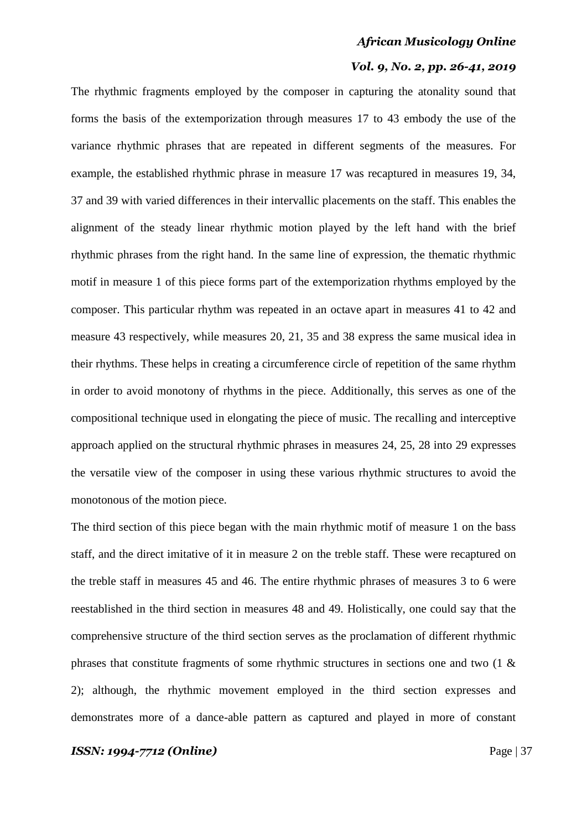### *Vol. 9, No. 2, pp. 26-41, 2019*

The rhythmic fragments employed by the composer in capturing the atonality sound that forms the basis of the extemporization through measures 17 to 43 embody the use of the variance rhythmic phrases that are repeated in different segments of the measures. For example, the established rhythmic phrase in measure 17 was recaptured in measures 19, 34, 37 and 39 with varied differences in their intervallic placements on the staff. This enables the alignment of the steady linear rhythmic motion played by the left hand with the brief rhythmic phrases from the right hand. In the same line of expression, the thematic rhythmic motif in measure 1 of this piece forms part of the extemporization rhythms employed by the composer. This particular rhythm was repeated in an octave apart in measures 41 to 42 and measure 43 respectively, while measures 20, 21, 35 and 38 express the same musical idea in their rhythms. These helps in creating a circumference circle of repetition of the same rhythm in order to avoid monotony of rhythms in the piece. Additionally, this serves as one of the compositional technique used in elongating the piece of music. The recalling and interceptive approach applied on the structural rhythmic phrases in measures 24, 25, 28 into 29 expresses the versatile view of the composer in using these various rhythmic structures to avoid the monotonous of the motion piece.

The third section of this piece began with the main rhythmic motif of measure 1 on the bass staff, and the direct imitative of it in measure 2 on the treble staff. These were recaptured on the treble staff in measures 45 and 46. The entire rhythmic phrases of measures 3 to 6 were reestablished in the third section in measures 48 and 49. Holistically, one could say that the comprehensive structure of the third section serves as the proclamation of different rhythmic phrases that constitute fragments of some rhythmic structures in sections one and two (1 & 2); although, the rhythmic movement employed in the third section expresses and demonstrates more of a dance-able pattern as captured and played in more of constant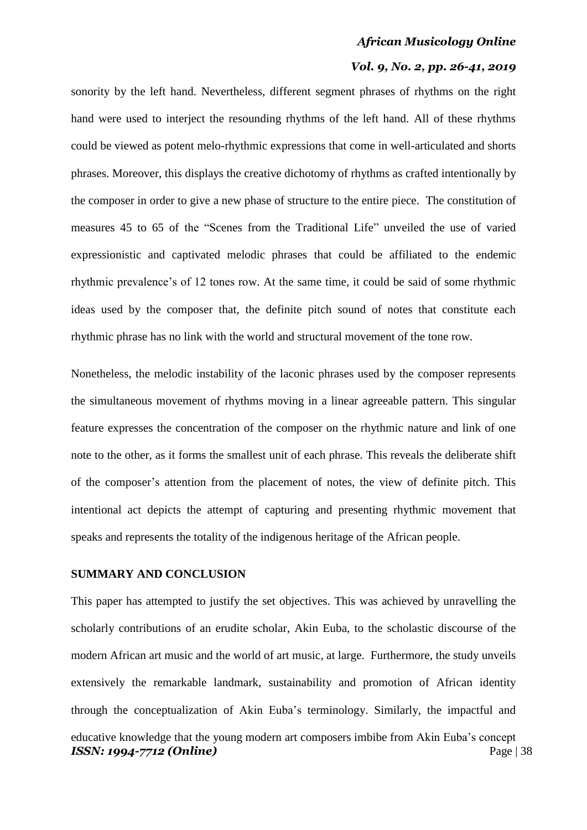#### *Vol. 9, No. 2, pp. 26-41, 2019*

sonority by the left hand. Nevertheless, different segment phrases of rhythms on the right hand were used to interject the resounding rhythms of the left hand. All of these rhythms could be viewed as potent melo-rhythmic expressions that come in well-articulated and shorts phrases. Moreover, this displays the creative dichotomy of rhythms as crafted intentionally by the composer in order to give a new phase of structure to the entire piece. The constitution of measures 45 to 65 of the "Scenes from the Traditional Life" unveiled the use of varied expressionistic and captivated melodic phrases that could be affiliated to the endemic rhythmic prevalence"s of 12 tones row. At the same time, it could be said of some rhythmic ideas used by the composer that, the definite pitch sound of notes that constitute each rhythmic phrase has no link with the world and structural movement of the tone row.

Nonetheless, the melodic instability of the laconic phrases used by the composer represents the simultaneous movement of rhythms moving in a linear agreeable pattern. This singular feature expresses the concentration of the composer on the rhythmic nature and link of one note to the other, as it forms the smallest unit of each phrase. This reveals the deliberate shift of the composer"s attention from the placement of notes, the view of definite pitch. This intentional act depicts the attempt of capturing and presenting rhythmic movement that speaks and represents the totality of the indigenous heritage of the African people.

#### **SUMMARY AND CONCLUSION**

*ISSN: 1994-7712 (Online)* Page | 38 This paper has attempted to justify the set objectives. This was achieved by unravelling the scholarly contributions of an erudite scholar, Akin Euba, to the scholastic discourse of the modern African art music and the world of art music, at large. Furthermore, the study unveils extensively the remarkable landmark, sustainability and promotion of African identity through the conceptualization of Akin Euba"s terminology. Similarly, the impactful and educative knowledge that the young modern art composers imbibe from Akin Euba"s concept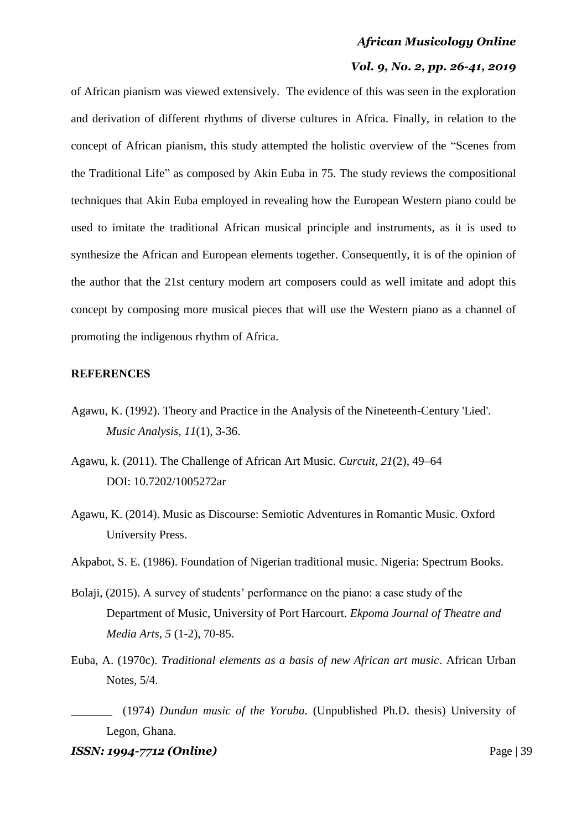## *Vol. 9, No. 2, pp. 26-41, 2019*

of African pianism was viewed extensively. The evidence of this was seen in the exploration and derivation of different rhythms of diverse cultures in Africa. Finally, in relation to the concept of African pianism, this study attempted the holistic overview of the "Scenes from the Traditional Life" as composed by Akin Euba in 75. The study reviews the compositional techniques that Akin Euba employed in revealing how the European Western piano could be used to imitate the traditional African musical principle and instruments, as it is used to synthesize the African and European elements together. Consequently, it is of the opinion of the author that the 21st century modern art composers could as well imitate and adopt this concept by composing more musical pieces that will use the Western piano as a channel of promoting the indigenous rhythm of Africa.

#### **REFERENCES**

- Agawu, K. (1992). Theory and Practice in the Analysis of the Nineteenth-Century 'Lied'. *Music Analysis*, *11*(1), 3-36.
- Agawu, k. (2011). The Challenge of African Art Music. *Curcuit, 21*(2), 49–64 DOI: [10.7202/1005272ar](http://dx.doi.org/10.7202/1005272ar)
- Agawu, K. (2014). Music as Discourse: Semiotic Adventures in Romantic Music. Oxford University Press.
- Akpabot, S. E. (1986). Foundation of Nigerian traditional music. Nigeria: Spectrum Books.
- Bolaji, (2015). A survey of students' performance on the piano: a case study of the Department of Music, University of Port Harcourt. *Ekpoma Journal of Theatre and Media Arts, 5* (1-2), 70-85.
- Euba, A. (1970c). *Traditional elements as a basis of new African art music*. African Urban Notes, 5/4.
- \_\_\_\_\_\_\_ (1974) *Dundun music of the Yoruba.* (Unpublished Ph.D. thesis) University of Legon, Ghana.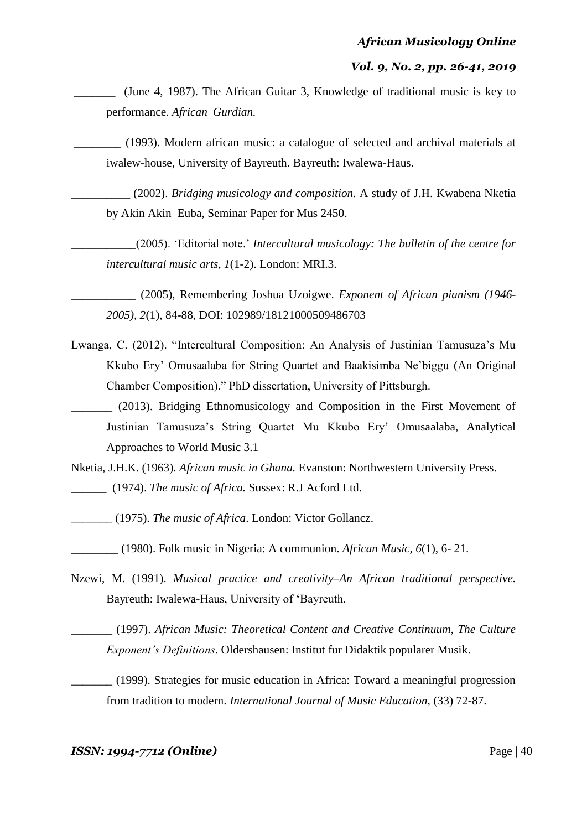\_\_\_\_\_\_\_ (June 4, 1987). The African Guitar 3, Knowledge of traditional music is key to performance. *African Gurdian.*

\_\_\_\_\_\_\_\_ (1993). Modern african music: a catalogue of selected and archival materials at iwalew-house, University of Bayreuth. Bayreuth: Iwalewa-Haus.

\_\_\_\_\_\_\_\_\_\_ (2002). *Bridging musicology and composition.* A study of J.H. Kwabena Nketia by Akin Akin Euba, Seminar Paper for Mus 2450.

\_\_\_\_\_\_\_\_\_\_\_(2005). "Editorial note." *Intercultural musicology: The bulletin of the centre for intercultural music arts, 1*(1-2). London: MRI.3.

\_\_\_\_\_\_\_\_\_\_\_ (2005), Remembering Joshua Uzoigwe. *Exponent of African pianism (1946- 2005), 2*(1), 84-88, DOI: 102989/18121000509486703

- Lwanga, C. (2012). "Intercultural Composition: An Analysis of Justinian Tamusuza's Mu Kkubo Ery" Omusaalaba for String Quartet and Baakisimba Ne"biggu (An Original Chamber Composition)." PhD dissertation, University of Pittsburgh.
- \_\_\_\_\_\_\_ (2013). Bridging Ethnomusicology and Composition in the First Movement of Justinian Tamusuza"s String Quartet Mu Kkubo Ery" Omusaalaba, Analytical Approaches to World Music 3.1

Nketia, J.H.K. (1963). *African music in Ghana.* Evanston: Northwestern University Press. \_\_\_\_\_\_ (1974). *The music of Africa.* Sussex: R.J Acford Ltd.

\_\_\_\_\_\_\_ (1975). *The music of Africa*. London: Victor Gollancz.

\_\_\_\_\_\_\_\_ (1980). Folk music in Nigeria: A communion. *African Music, 6*(1), 6- 21.

Nzewi, M. (1991). *Musical practice and creativity–An African traditional perspective.* Bayreuth: Iwalewa-Haus, University of "Bayreuth.

\_\_\_\_\_\_\_ (1997). *African Music: Theoretical Content and Creative Continuum, The Culture Exponent's Definitions*. Oldershausen: Institut fur Didaktik popularer Musik.

\_\_\_\_\_\_\_ (1999). Strategies for music education in Africa: Toward a meaningful progression from tradition to modern. *International Journal of Music Education,* (33) 72-87.